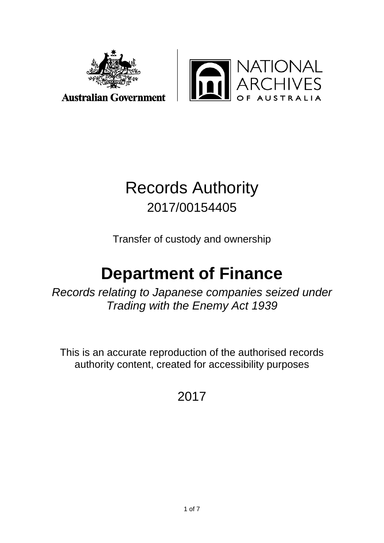



**Australian Government** 

# Records Authority 2017/00154405

Transfer of custody and ownership

# **Department of Finance**

*Records relating to Japanese companies seized under Trading with the Enemy Act 1939*

This is an accurate reproduction of the authorised records authority content, created for accessibility purposes

## 2017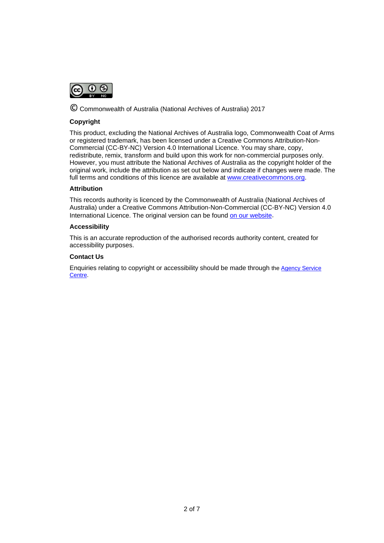

© Commonwealth of Australia (National Archives of Australia) 2017

#### **Copyright**

This product, excluding the National Archives of Australia logo, Commonwealth Coat of Arms or registered trademark, has been licensed under a Creative Commons Attribution-Non-Commercial (CC-BY-NC) Version 4.0 International Licence. You may share, copy, redistribute, remix, transform and build upon this work for non-commercial purposes only. However, you must attribute the National Archives of Australia as the copyright holder of the original work, include the attribution as set out below and indicate if changes were made. The full terms and conditions of this licence are available at [www.creativecommons.org.](http://www.creativecommons.org/)

#### **Attribution**

This records authority is licenced by the Commonwealth of Australia (National Archives of Australia) under a Creative Commons Attribution-Non-Commercial (CC-BY-NC) Version 4.0 International Licence. The original version can be found [on our website.](http://www.naa.gov.au/)

#### **Accessibility**

This is an accurate reproduction of the authorised records authority content, created for accessibility purposes.

#### **Contact Us**

Enquiries relating to copyright or accessibility should be made through the [Agency Service](http://reftracker.naa.gov.au/reft100.aspx?key=ASC)  [Centre.](http://reftracker.naa.gov.au/reft100.aspx?pmi=Y0muEYQ04w)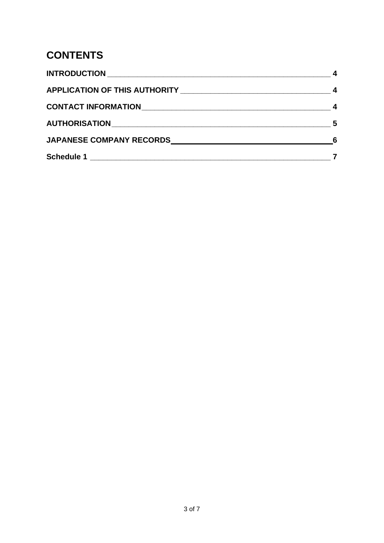## **CONTENTS**

| - 5 |
|-----|
|     |
|     |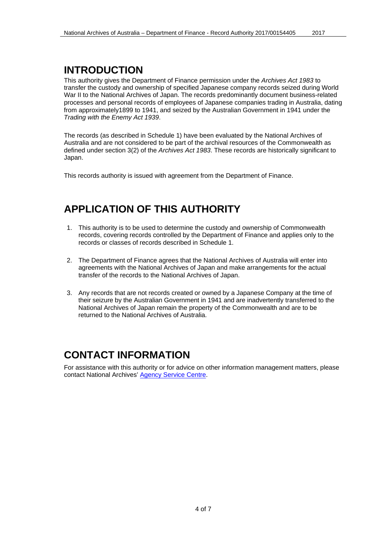#### <span id="page-3-0"></span>**INTRODUCTION**

This authority gives the Department of Finance permission under the *Archives Act 1983* to transfer the custody and ownership of specified Japanese company records seized during World War II to the National Archives of Japan. The records predominantly document business-related processes and personal records of employees of Japanese companies trading in Australia, dating from approximately1899 to 1941, and seized by the Australian Government in 1941 under the *Trading with the Enemy Act 1939*.

The records (as described in Schedule 1) have been evaluated by the National Archives of Australia and are not considered to be part of the archival resources of the Commonwealth as defined under section 3(2) of the *Archives Act 1983*. These records are historically significant to Japan.

<span id="page-3-1"></span>This records authority is issued with agreement from the Department of Finance.

## **APPLICATION OF THIS AUTHORITY**

- 1. This authority is to be used to determine the custody and ownership of Commonwealth records, covering records controlled by the Department of Finance and applies only to the records or classes of records described in Schedule 1.
- 2. The Department of Finance agrees that the National Archives of Australia will enter into agreements with the National Archives of Japan and make arrangements for the actual transfer of the records to the National Archives of Japan.
- 3. Any records that are not records created or owned by a Japanese Company at the time of their seizure by the Australian Government in 1941 and are inadvertently transferred to the National Archives of Japan remain the property of the Commonwealth and are to be returned to the National Archives of Australia.

#### <span id="page-3-2"></span>**CONTACT INFORMATION**

For assistance with this authority or for advice on other information management matters, please contact National Archives' [Agency Service Centre.](http://reftracker.naa.gov.au/reft100.aspx?key=ASC)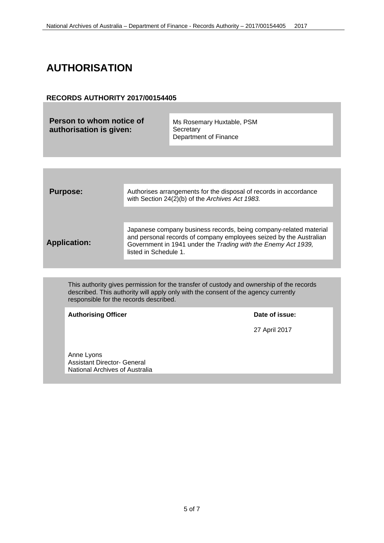## <span id="page-4-0"></span>**AUTHORISATION**

#### **RECORDS AUTHORITY 2017/00154405**

**Person to whom notice of authorisation is given:**

Ms Rosemary Huxtable, PSM **Secretary** Department of Finance

| <b>Purpose:</b>     | Authorises arrangements for the disposal of records in accordance<br>with Section 24(2)(b) of the Archives Act 1983.                                                                                                              |
|---------------------|-----------------------------------------------------------------------------------------------------------------------------------------------------------------------------------------------------------------------------------|
| <b>Application:</b> | Japanese company business records, being company-related material<br>and personal records of company employees seized by the Australian<br>Government in 1941 under the Trading with the Enemy Act 1939,<br>listed in Schedule 1. |

This authority gives permission for the transfer of custody and ownership of the records described. This authority will apply only with the consent of the agency currently responsible for the records described.

Authorising Officer **Date of issue:** 

27 April 2017

Anne Lyons Assistant Director- General National Archives of Australia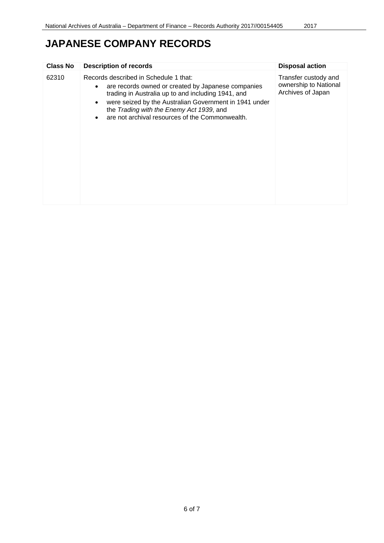## <span id="page-5-1"></span><span id="page-5-0"></span>**JAPANESE COMPANY RECORDS**

| <b>Class No</b> | <b>Description of records</b>                                                                                                                                                                                                                                                                              | <b>Disposal action</b>                                             |
|-----------------|------------------------------------------------------------------------------------------------------------------------------------------------------------------------------------------------------------------------------------------------------------------------------------------------------------|--------------------------------------------------------------------|
| 62310           | Records described in Schedule 1 that:<br>are records owned or created by Japanese companies<br>trading in Australia up to and including 1941, and<br>were seized by the Australian Government in 1941 under<br>the Trading with the Enemy Act 1939, and<br>are not archival resources of the Commonwealth. | Transfer custody and<br>ownership to National<br>Archives of Japan |